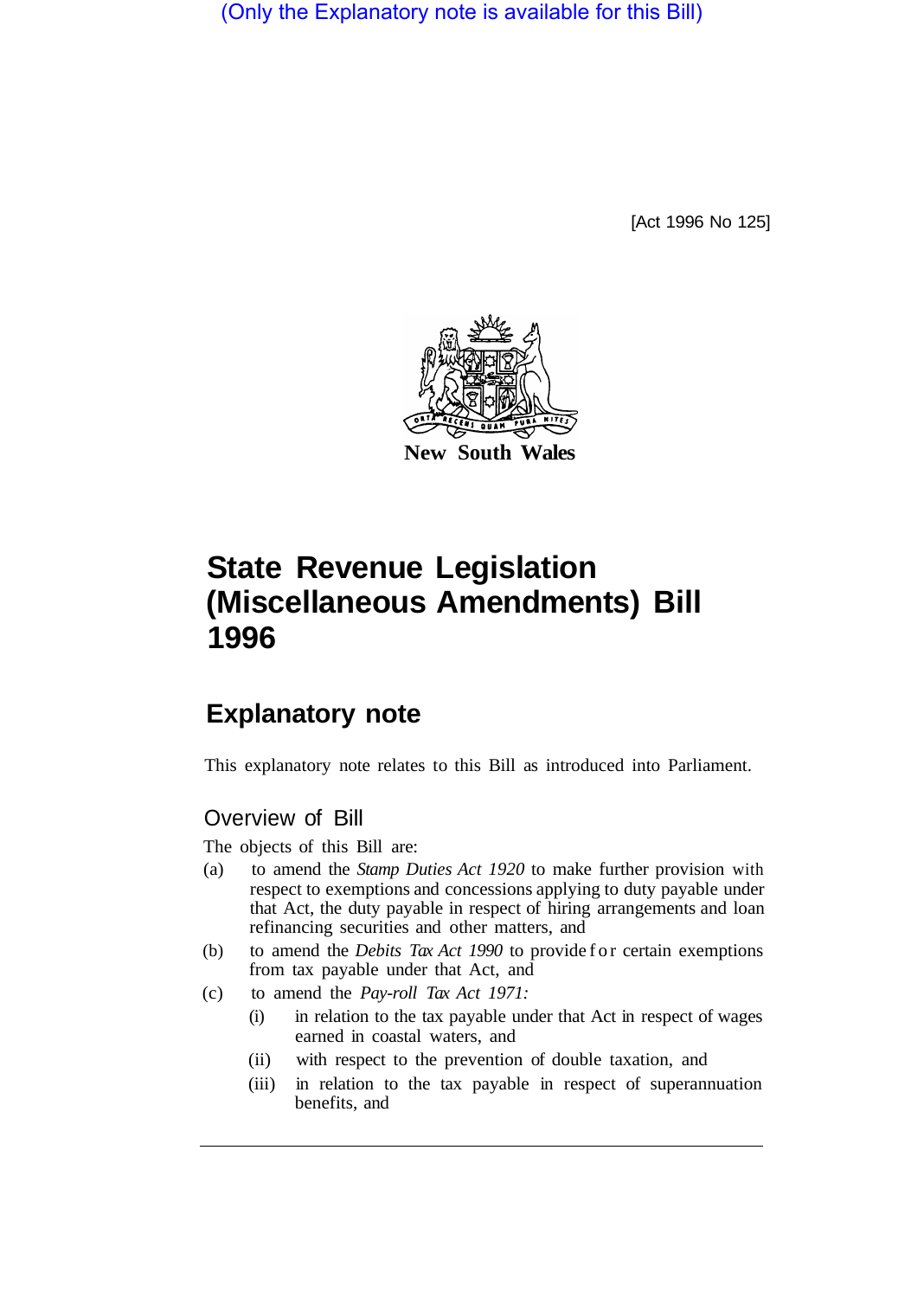(Only the Explanatory note is available for this Bill)

[Act 1996 No 125]



# **State Revenue Legislation (Miscellaneous Amendments) Bill 1996**

## **Explanatory note**

This explanatory note relates to this Bill as introduced into Parliament.

## Overview of Bill

The objects of this Bill are:

- (a) to amend the *Stamp Duties Act 1920* to make further provision with respect to exemptions and concessions applying to duty payable under that Act, the duty payable in respect of hiring arrangements and loan refinancing securities and other matters, and
- (b) to amend the *Debits Tax Act 1990* to provide for certain exemptions from tax payable under that Act, and
- (c) to amend the *Pay-roll Tax Act 1971:* 
	- (i) in relation to the tax payable under that Act in respect of wages earned in coastal waters, and
	- (ii) with respect to the prevention of double taxation, and
	- (iii) in relation to the tax payable in respect of superannuation benefits, and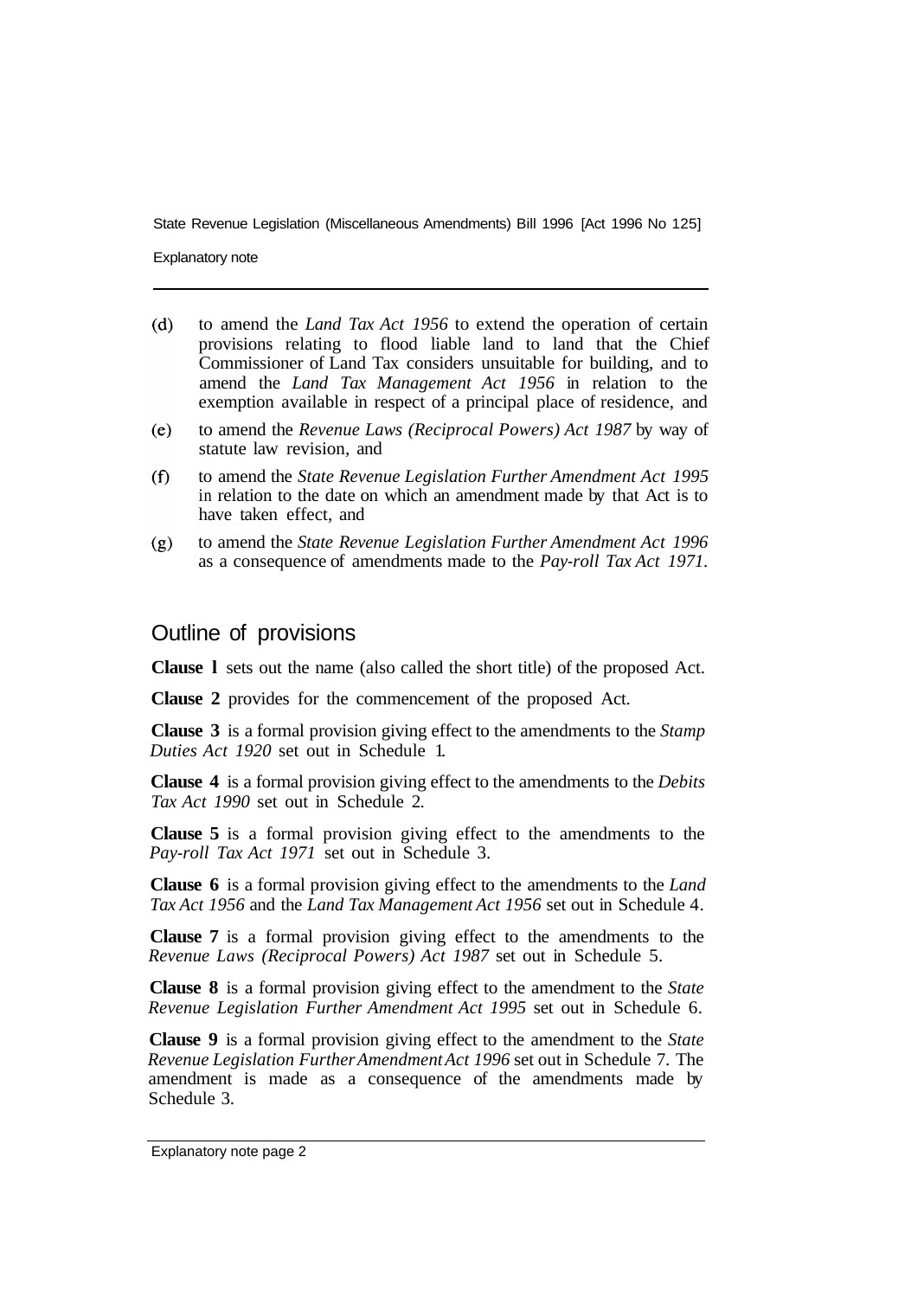Explanatory note

- $(d)$ to amend the *Land Tax Act 1956* to extend the operation of certain provisions relating to flood liable land to land that the Chief Commissioner of Land Tax considers unsuitable for building, and to amend the *Land Tax Management Act 1956* in relation to the exemption available in respect of a principal place of residence, and
- to amend the *Revenue Laws (Reciprocal Powers) Act 1987* by way of  $(e)$ statute law revision, and
- to amend the *State Revenue Legislation Further Amendment Act 1995*   $(f)$ in relation to the date on which an amendment made by that Act is to have taken effect, and
- to amend the *State Revenue Legislation Further Amendment Act 1996*   $(g)$ as a consequence of amendments made to the *Pay-roll Tax Act 1971.*

## Outline of provisions

**Clause l** sets out the name (also called the short title) of the proposed Act.

**Clause 2** provides for the commencement of the proposed Act.

**Clause 3** is a formal provision giving effect to the amendments to the *Stamp Duties Act 1920* set out in Schedule 1.

**Clause 4** is a formal provision giving effect to the amendments to the *Debits Tax Act 1990* set out in Schedule 2.

**Clause 5** is a formal provision giving effect to the amendments to the *Pay-roll Tax Act 1971* set out in Schedule 3.

**Clause 6** is a formal provision giving effect to the amendments to the *Land Tax Act 1956* and the *Land Tax Management Act 1956* set out in Schedule 4.

**Clause 7** is a formal provision giving effect to the amendments to the *Revenue Laws (Reciprocal Powers) Act 1987* set out in Schedule 5.

**Clause 8** is a formal provision giving effect to the amendment to the *State Revenue Legislation Further Amendment Act 1995* set out in Schedule 6.

**Clause 9** is a formal provision giving effect to the amendment to the *State Revenue Legislation Further Amendment Act 1996* set out in Schedule 7. The amendment is made as a consequence of the amendments made by Schedule 3.

Explanatory note page 2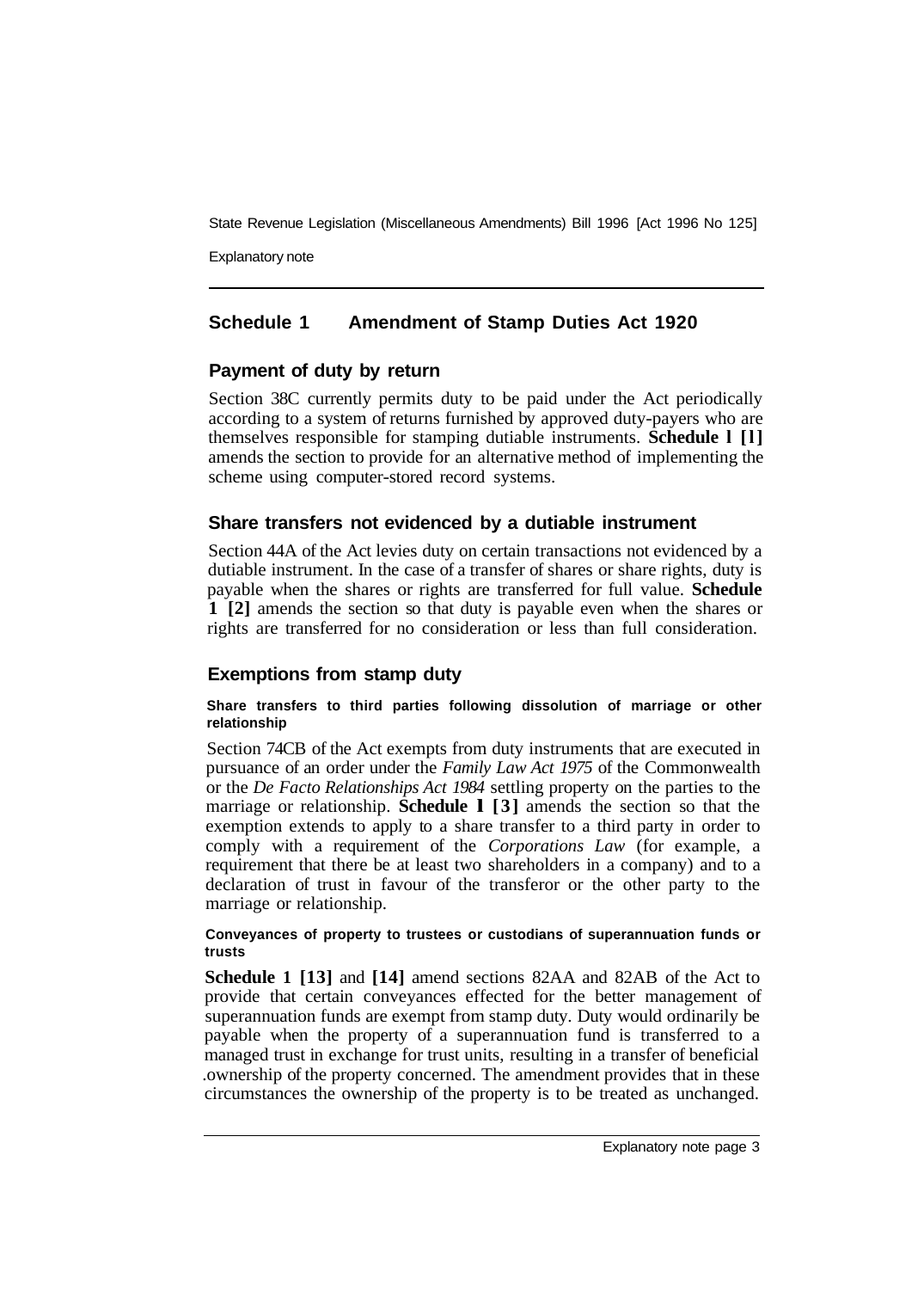Explanatory note

## **Schedule 1 Amendment of Stamp Duties Act 1920**

## **Payment of duty by return**

Section 38C currently permits duty to be paid under the Act periodically according to a system of returns furnished by approved duty-payers who are themselves responsible for stamping dutiable instruments. **Schedule l [l]**  amends the section to provide for an alternative method of implementing the scheme using computer-stored record systems.

## **Share transfers not evidenced by a dutiable instrument**

Section 44A of the Act levies duty on certain transactions not evidenced by a dutiable instrument. In the case of a transfer of shares or share rights, duty is payable when the shares or rights are transferred for full value. **Schedule 1 [2]** amends the section so that duty is payable even when the shares or rights are transferred for no consideration or less than full consideration.

## **Exemptions from stamp duty**

#### **Share transfers to third parties following dissolution of marriage or other relationship**

Section 74CB of the Act exempts from duty instruments that are executed in pursuance of an order under the *Family Law Act 1975* of the Commonwealth or the *De Facto Relationships Act 1984* settling property on the parties to the marriage or relationship. **Schedule l [3]** amends the section so that the exemption extends to apply to a share transfer to a third party in order to comply with a requirement of the *Corporations Law* (for example, a requirement that there be at least two shareholders in a company) and to a declaration of trust in favour of the transferor or the other party to the marriage or relationship.

#### **Conveyances of property to trustees or custodians of superannuation funds or trusts**

**Schedule 1 [13]** and **[14]** amend sections 82AA and 82AB of the Act to provide that certain conveyances effected for the better management of superannuation funds are exempt from stamp duty. Duty would ordinarily be payable when the property of a superannuation fund is transferred to a managed trust in exchange for trust units, resulting in a transfer of beneficial .ownership of the property concerned. The amendment provides that in these circumstances the ownership of the property is to be treated as unchanged.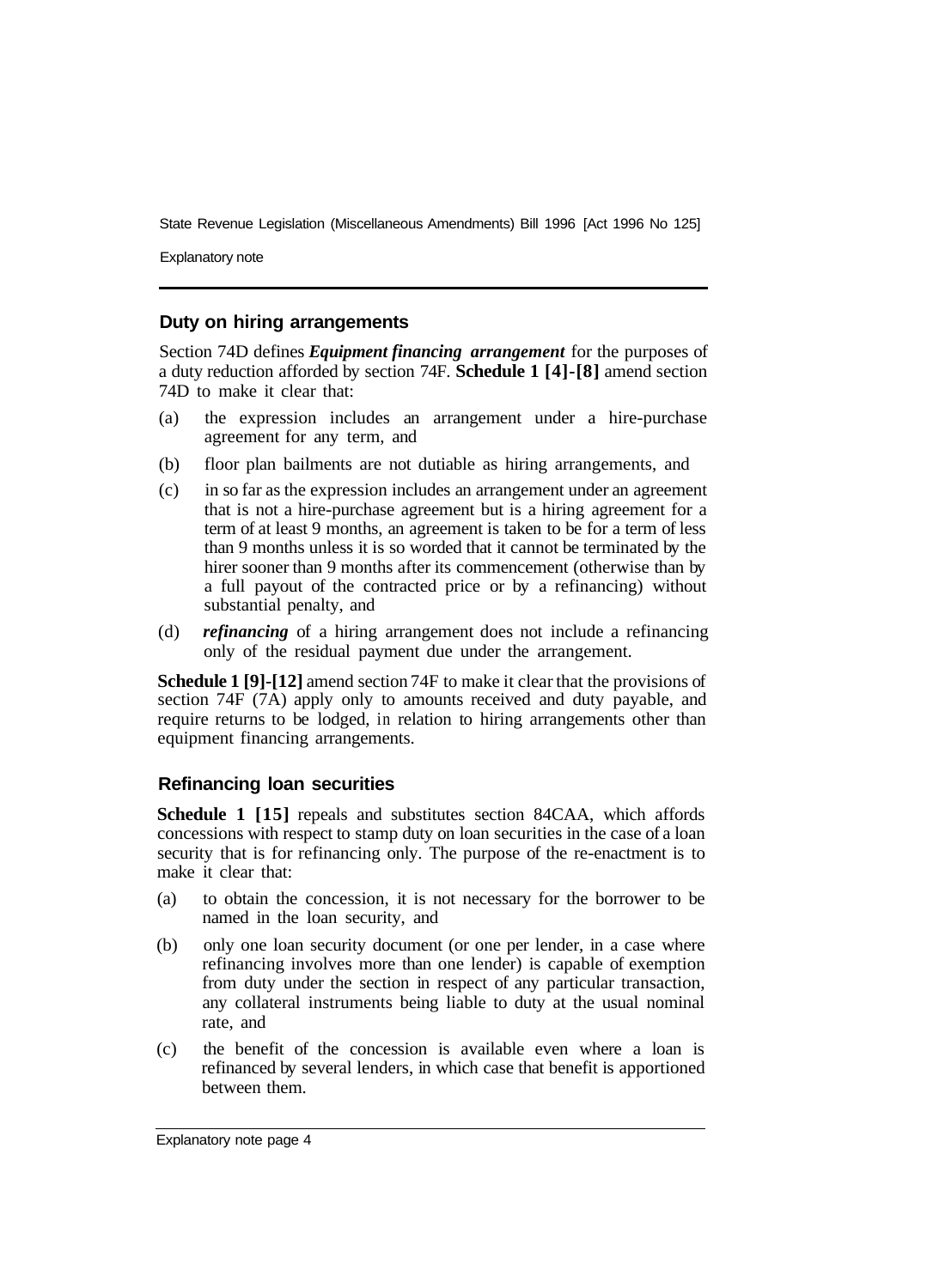Explanatory note

#### **Duty on hiring arrangements**

Section 74D defines *Equipment financing arrangement* for the purposes of a duty reduction afforded by section 74F. **Schedule 1 [4]-[8]** amend section 74D to make it clear that:

- (a) the expression includes an arrangement under a hire-purchase agreement for any term, and
- (b) floor plan bailments are not dutiable as hiring arrangements, and
- (c) in so far as the expression includes an arrangement under an agreement that is not a hire-purchase agreement but is a hiring agreement for a term of at least 9 months, an agreement is taken to be for a term of less than 9 months unless it is so worded that it cannot be terminated by the hirer sooner than 9 months after its commencement (otherwise than by a full payout of the contracted price or by a refinancing) without substantial penalty, and
- (d) *refinancing* of a hiring arrangement does not include a refinancing only of the residual payment due under the arrangement.

**Schedule 1 [9]-[12]** amend section 74F to make it clear that the provisions of section 74F (7A) apply only to amounts received and duty payable, and require returns to be lodged, in relation to hiring arrangements other than equipment financing arrangements.

#### **Refinancing loan securities**

**Schedule 1 [15]** repeals and substitutes section 84CAA, which affords concessions with respect to stamp duty on loan securities in the case of a loan security that is for refinancing only. The purpose of the re-enactment is to make it clear that:

- (a) to obtain the concession, it is not necessary for the borrower to be named in the loan security, and
- (b) only one loan security document (or one per lender, in a case where refinancing involves more than one lender) is capable of exemption from duty under the section in respect of any particular transaction, any collateral instruments being liable to duty at the usual nominal rate, and
- (c) the benefit of the concession is available even where a loan is refinanced by several lenders, in which case that benefit is apportioned between them.

Explanatory note page 4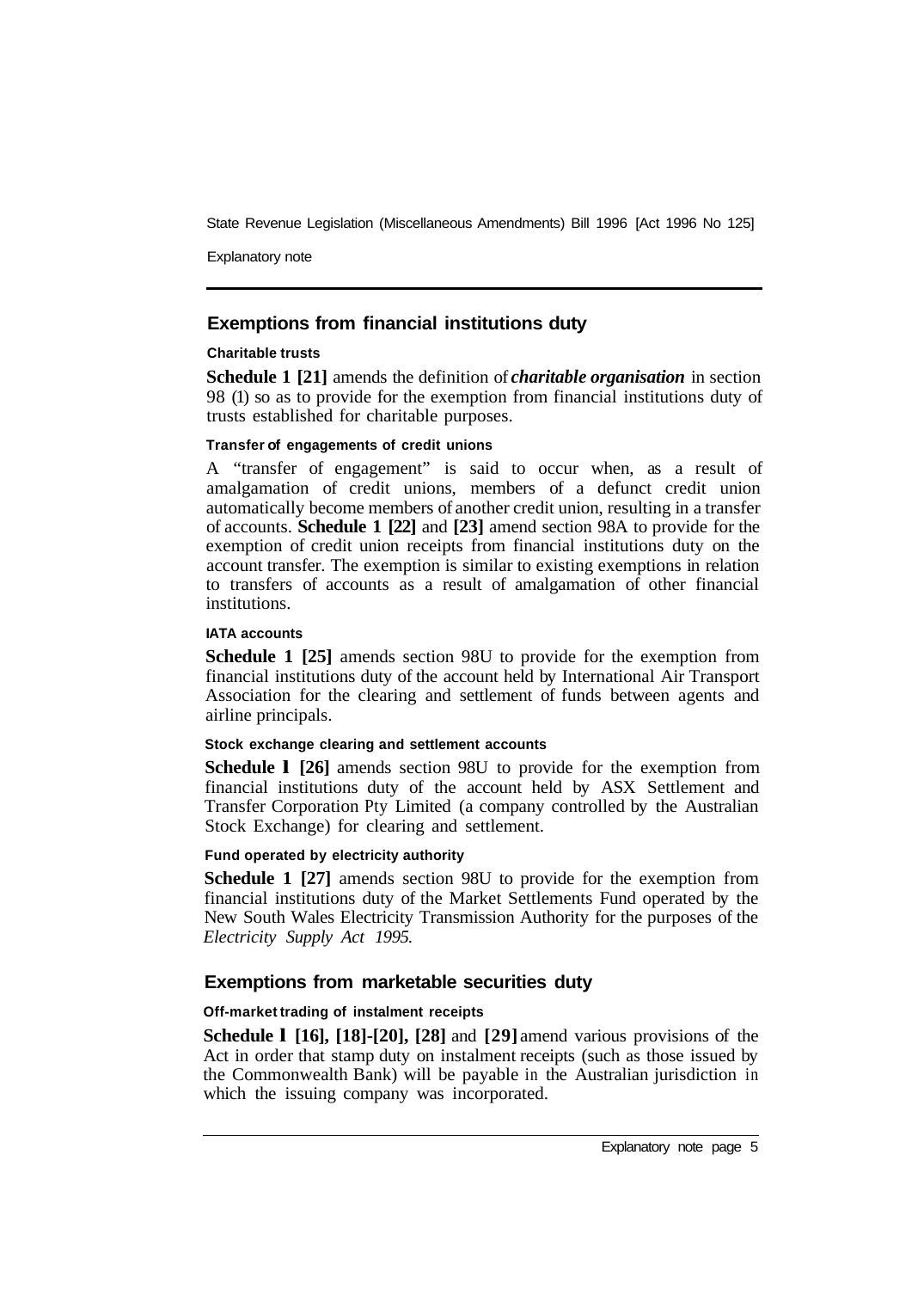Explanatory note

## **Exemptions from financial institutions duty**

#### **Charitable trusts**

**Schedule 1 [21]** amends the definition of *charitable organisation* in section 98 (1) so as to provide for the exemption from financial institutions duty of trusts established for charitable purposes.

#### **Transfer of engagements of credit unions**

A "transfer of engagement" is said to occur when, as a result of amalgamation of credit unions, members of a defunct credit union automatically become members of another credit union, resulting in a transfer of accounts. **Schedule 1 [22]** and **[23]** amend section 98A to provide for the exemption of credit union receipts from financial institutions duty on the account transfer. The exemption is similar to existing exemptions in relation to transfers of accounts as a result of amalgamation of other financial institutions.

#### **IATA accounts**

**Schedule 1 [25]** amends section 98U to provide for the exemption from financial institutions duty of the account held by International Air Transport Association for the clearing and settlement of funds between agents and airline principals.

#### **Stock exchange clearing and settlement accounts**

**Schedule l [26]** amends section 98U to provide for the exemption from financial institutions duty of the account held by ASX Settlement and Transfer Corporation Pty Limited (a company controlled by the Australian Stock Exchange) for clearing and settlement.

#### **Fund operated by electricity authority**

**Schedule 1 [27]** amends section 98U to provide for the exemption from financial institutions duty of the Market Settlements Fund operated by the New South Wales Electricity Transmission Authority for the purposes of the *Electricity Supply Act 1995.* 

#### **Exemptions from marketable securities duty**

#### **Off-market trading of instalment receipts**

**Schedule l [16], [18]-[20], [28]** and **[29]** amend various provisions of the Act in order that stamp duty on instalment receipts (such as those issued by the Commonwealth Bank) will be payable in the Australian jurisdiction in which the issuing company was incorporated.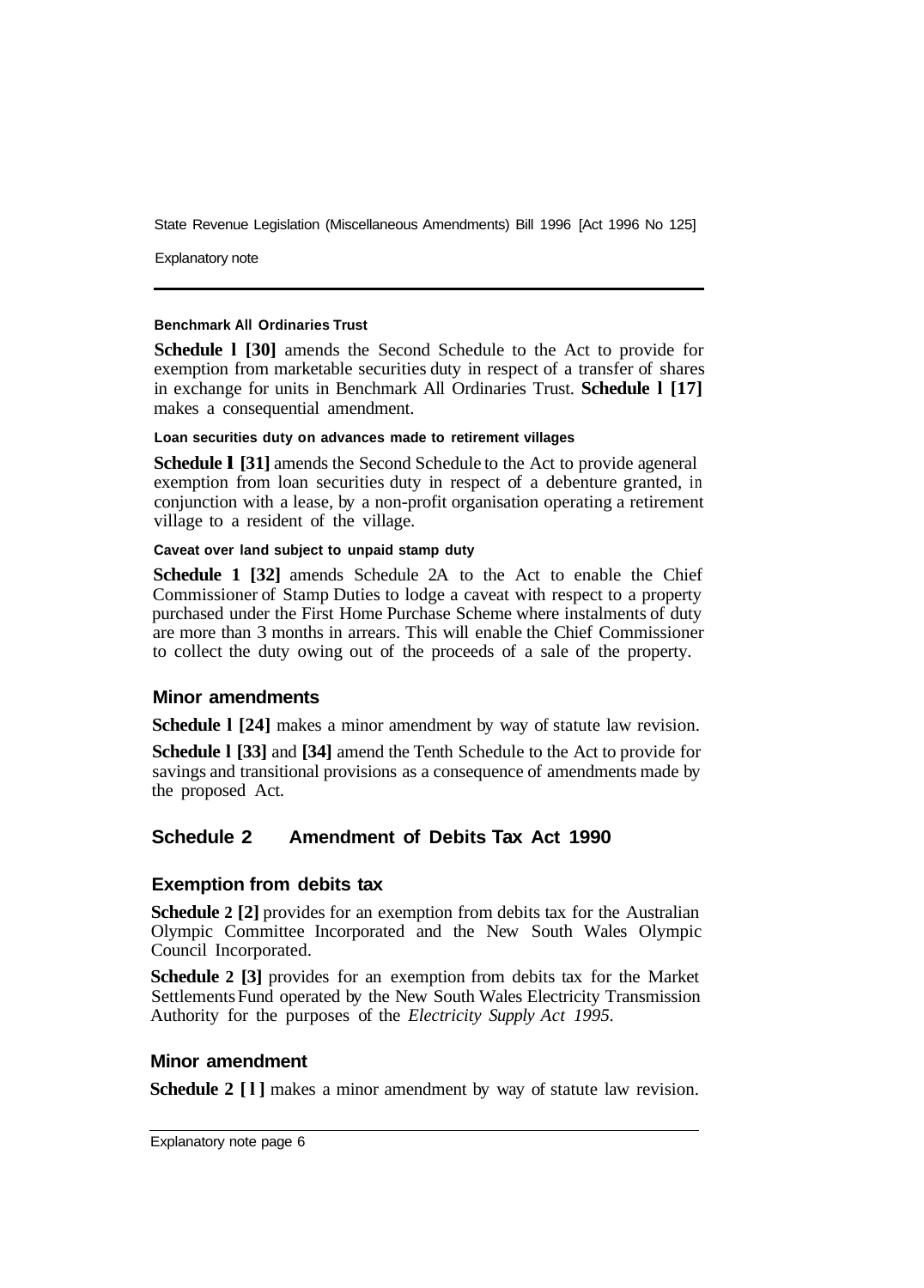Explanatory note

#### **Benchmark All Ordinaries Trust**

**Schedule l [30]** amends the Second Schedule to the Act to provide for exemption from marketable securities duty in respect of a transfer of shares in exchange for units in Benchmark All Ordinaries Trust. **Schedule l [17]**  makes a consequential amendment.

#### **Loan securities duty on advances made to retirement villages**

**Schedule I [31]** amends the Second Schedule to the Act to provide ageneral exemption from loan securities duty in respect of a debenture granted, in conjunction with a lease, by a non-profit organisation operating a retirement village to a resident of the village.

#### **Caveat over land subject to unpaid stamp duty**

**Schedule 1 [32]** amends Schedule 2A to the Act to enable the Chief Commissioner of Stamp Duties to lodge a caveat with respect to a property purchased under the First Home Purchase Scheme where instalments of duty are more than 3 months in arrears. This will enable the Chief Commissioner to collect the duty owing out of the proceeds of a sale of the property.

#### **Minor amendments**

**Schedule l [24]** makes a minor amendment by way of statute law revision.

**Schedule l [33]** and **[34]** amend the Tenth Schedule to the Act to provide for savings and transitional provisions as a consequence of amendments made by the proposed Act.

## **Schedule 2 Amendment of Debits Tax Act 1990**

#### **Exemption from debits tax**

**Schedule 2 [2]** provides for an exemption from debits tax for the Australian Olympic Committee Incorporated and the New South Wales Olympic Council Incorporated.

**Schedule 2 [3]** provides for an exemption from debits tax for the Market Settlements Fund operated by the New South Wales Electricity Transmission Authority for the purposes of the *Electricity Supply Act 1995.* 

#### **Minor amendment**

**Schedule 2 [l]** makes a minor amendment by way of statute law revision.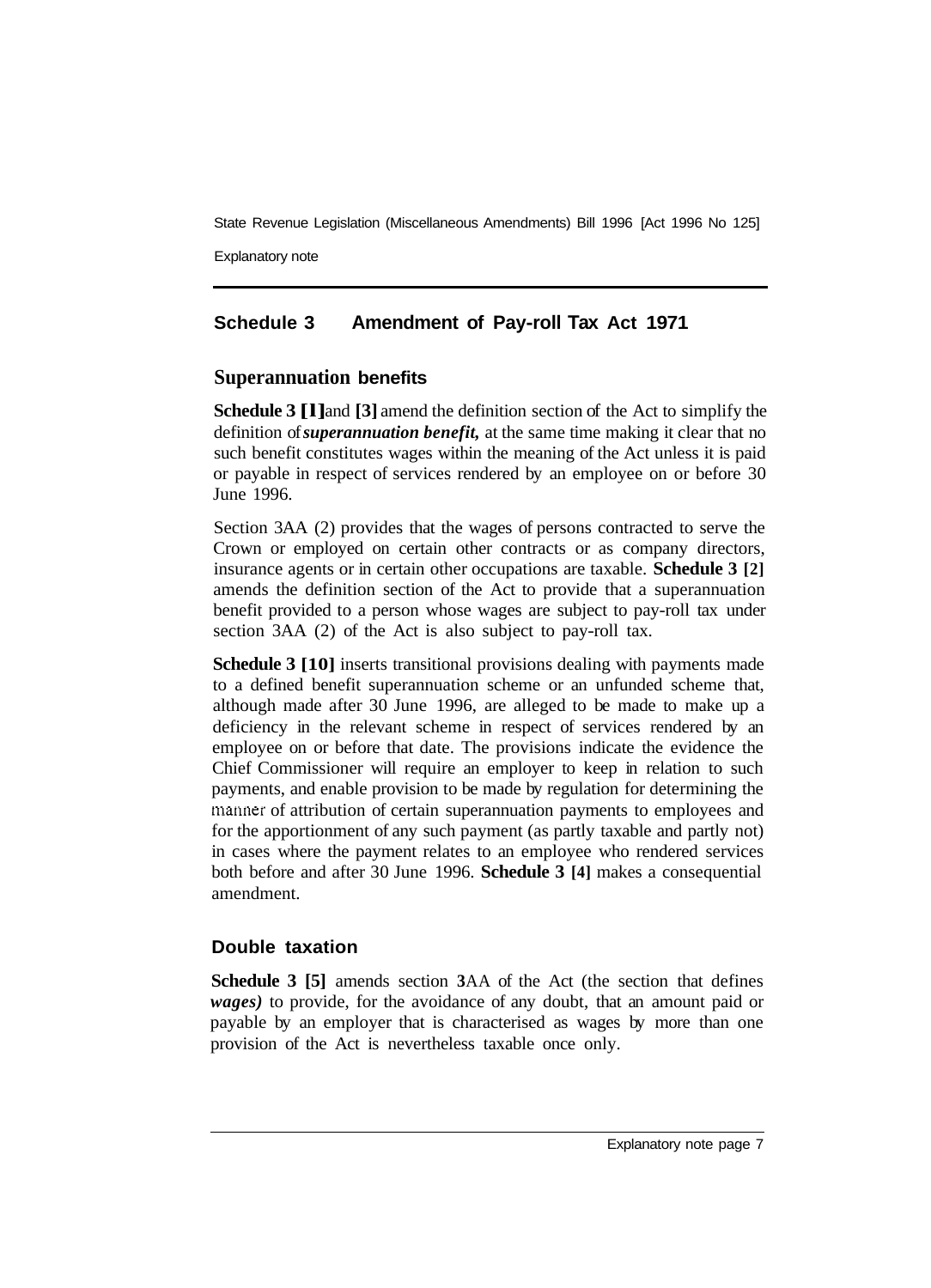Explanatory note

## **Schedule 3 Amendment of Pay-roll Tax Act 1971**

## **Superannuation benefits**

**Schedule 3 [l]** and **[3]** amend the definition section of the Act to simplify the definition of *superannuation benefit,* at the same time making it clear that no such benefit constitutes wages within the meaning of the Act unless it is paid or payable in respect of services rendered by an employee on or before 30 June 1996.

Section 3AA (2) provides that the wages of persons contracted to serve the Crown or employed on certain other contracts or as company directors, insurance agents or in certain other occupations are taxable. **Schedule 3 [2]**  amends the definition section of the Act to provide that a superannuation benefit provided to a person whose wages are subject to pay-roll tax under section 3AA (2) of the Act is also subject to pay-roll tax.

**Schedule 3 [10]** inserts transitional provisions dealing with payments made to a defined benefit superannuation scheme or an unfunded scheme that, although made after 30 June 1996, are alleged to be made to make up a deficiency in the relevant scheme in respect of services rendered by an employee on or before that date. The provisions indicate the evidence the Chief Commissioner will require an employer to keep in relation to such payments, and enable provision to be made by regulation for determining the manner of attribution of certain superannuation payments to employees and for the apportionment of any such payment (as partly taxable and partly not) in cases where the payment relates to an employee who rendered services both before and after 30 June 1996. **Schedule 3 [4]** makes a consequential amendment.

## **Double taxation**

**Schedule 3 [5]** amends section **3**AA of the Act (the section that defines *wages)* to provide, for the avoidance of any doubt, that an amount paid or payable by an employer that is characterised as wages by more than one provision of the Act is nevertheless taxable once only.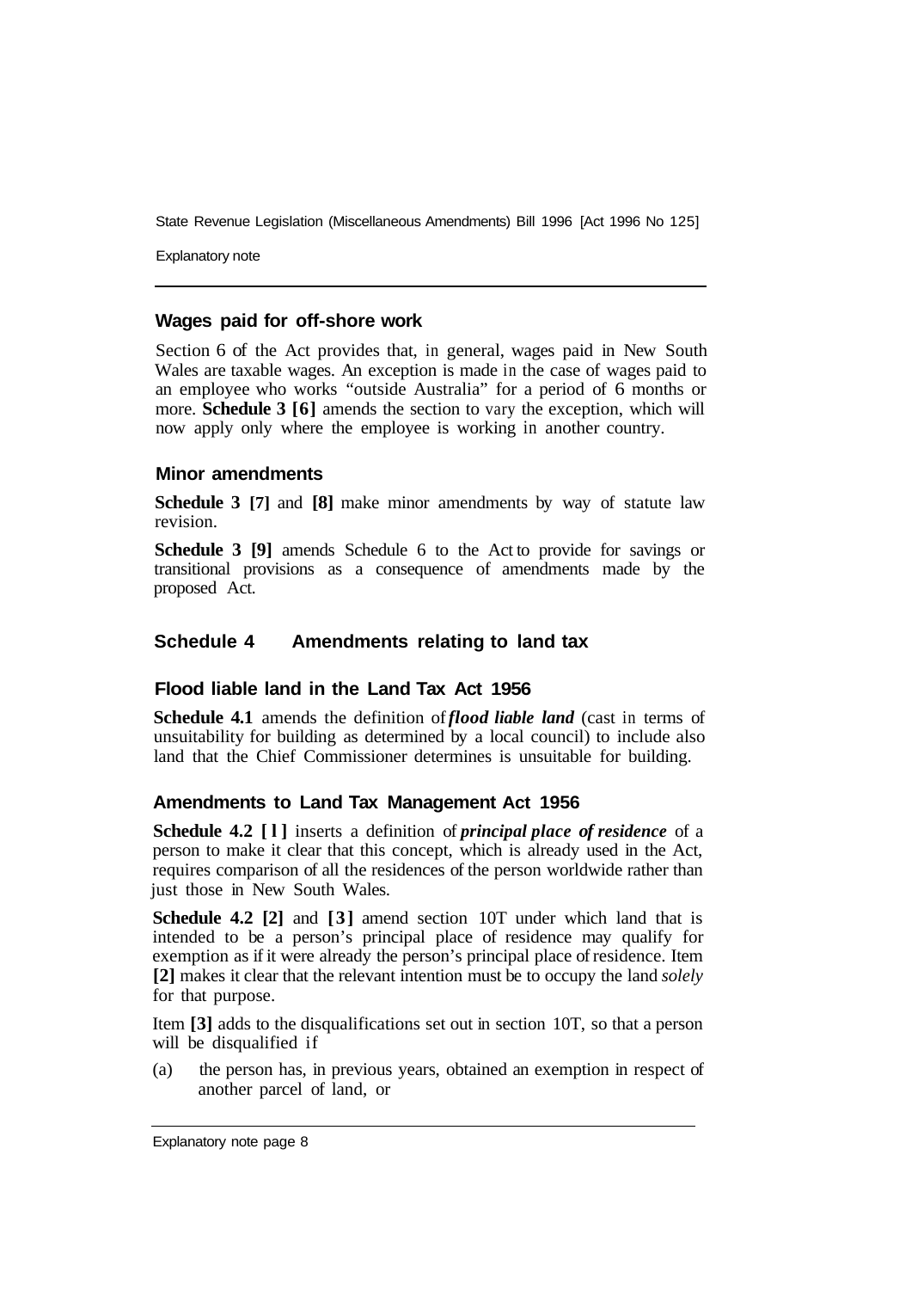Explanatory note

#### **Wages paid for off-shore work**

Section 6 of the Act provides that, in general, wages paid in New South Wales are taxable wages. An exception is made in the case of wages paid to an employee who works "outside Australia" for a period of 6 months or more. **Schedule 3 [6]** amends the section to vary the exception, which will now apply only where the employee is working in another country.

#### **Minor amendments**

**Schedule 3 [7]** and **[8]** make minor amendments by way of statute law revision.

**Schedule 3 [9]** amends Schedule 6 to the Act to provide for savings or transitional provisions as a consequence of amendments made by the proposed Act.

#### **Schedule 4 Amendments relating to land tax**

#### **Flood liable land in the Land Tax Act 1956**

**Schedule 4.1** amends the definition of *flood liable land* (cast in terms of unsuitability for building as determined by a local council) to include also land that the Chief Commissioner determines is unsuitable for building.

#### **Amendments to Land Tax Management Act 1956**

**Schedule 4.2 [l]** inserts a definition of *principal place of residence* of a person to make it clear that this concept, which is already used in the Act, requires comparison of all the residences of the person worldwide rather than just those in New South Wales.

**Schedule 4.2 [2]** and **[3]** amend section 10T under which land that is intended to be a person's principal place of residence may qualify for exemption as if it were already the person's principal place of residence. Item **[2]** makes it clear that the relevant intention must be to occupy the land *solely*  for that purpose.

Item **[3]** adds to the disqualifications set out in section 10T, so that a person will be disqualified if

(a) the person has, in previous years, obtained an exemption in respect of another parcel of land, or

Explanatory note page 8